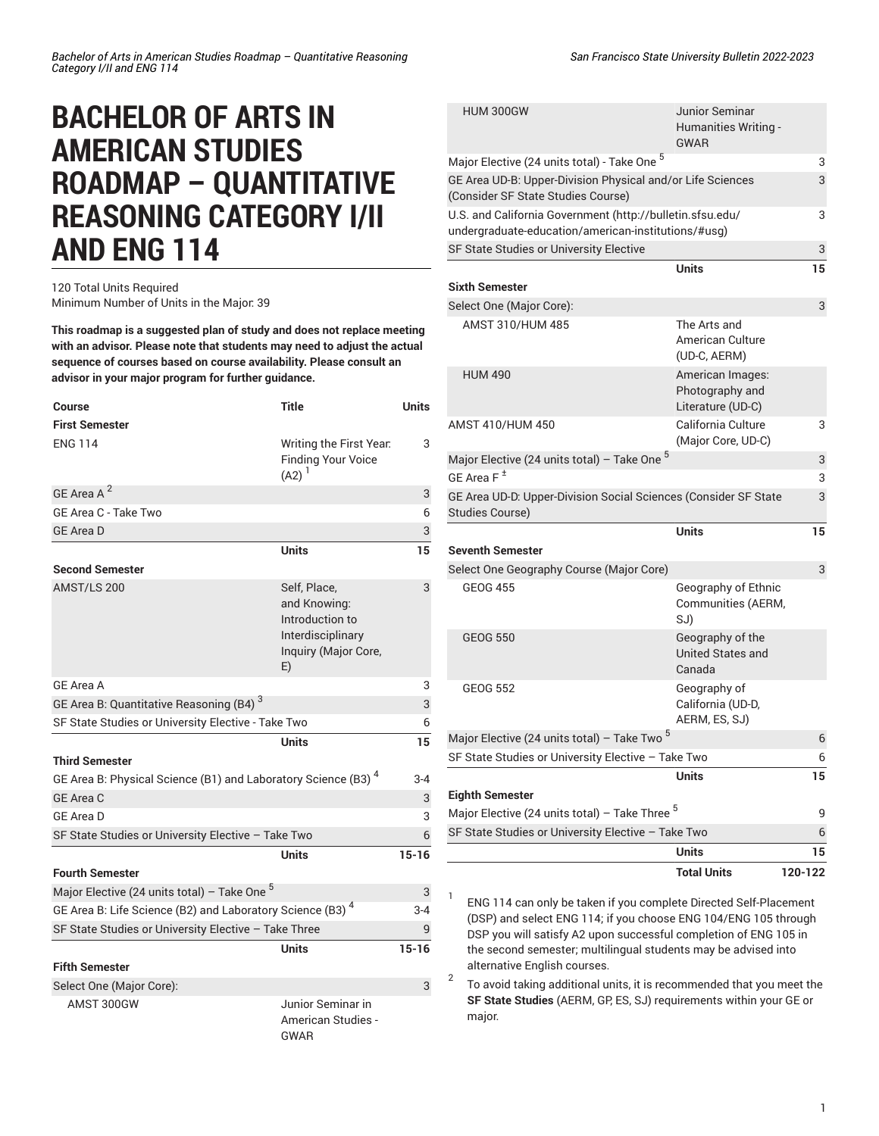## **BACHELOR OF ARTS IN AMERICAN STUDIES ROADMAP – QUANTITATIVE REASONING CATEGORY I/II AND ENG 114**

## 120 Total Units Required Minimum Number of Units in the Major: 39

**This roadmap is a suggested plan of study and does not replace meeting with an advisor. Please note that students may need to adjust the actual sequence of courses based on course availability. Please consult an advisor in your major program for further guidance.**

| Course                                                                    | <b>Title</b>                                                                                       | <b>Units</b> |  |
|---------------------------------------------------------------------------|----------------------------------------------------------------------------------------------------|--------------|--|
| <b>First Semester</b>                                                     |                                                                                                    |              |  |
| <b>ENG 114</b>                                                            | Writing the First Year.<br><b>Finding Your Voice</b><br>$(A2)^{1}$                                 | 3            |  |
| GE Area A <sup>2</sup>                                                    |                                                                                                    | 3            |  |
| GE Area C - Take Two                                                      |                                                                                                    | 6            |  |
| <b>GE Area D</b>                                                          |                                                                                                    | 3            |  |
|                                                                           | Units                                                                                              | 15           |  |
| <b>Second Semester</b>                                                    |                                                                                                    |              |  |
| AMST/LS 200                                                               | Self, Place,<br>and Knowing:<br>Introduction to<br>Interdisciplinary<br>Inquiry (Major Core,<br>E) | 3            |  |
| GE Area A                                                                 |                                                                                                    | 3            |  |
| GE Area B: Quantitative Reasoning (B4) <sup>3</sup>                       |                                                                                                    | 3            |  |
| SF State Studies or University Elective - Take Two<br>6                   |                                                                                                    |              |  |
|                                                                           | <b>Units</b>                                                                                       | 15           |  |
| <b>Third Semester</b>                                                     |                                                                                                    |              |  |
| GE Area B: Physical Science (B1) and Laboratory Science (B3) <sup>4</sup> |                                                                                                    | $3-4$        |  |
| <b>GE Area C</b>                                                          |                                                                                                    | 3            |  |
| <b>GE Area D</b>                                                          |                                                                                                    | 3            |  |
| SF State Studies or University Elective - Take Two<br>6                   |                                                                                                    |              |  |
|                                                                           | Units                                                                                              | $15 - 16$    |  |
| <b>Fourth Semester</b>                                                    |                                                                                                    |              |  |
| Major Elective (24 units total) – Take One $^5$                           |                                                                                                    | 3            |  |
| GE Area B: Life Science (B2) and Laboratory Science (B3) <sup>4</sup>     |                                                                                                    | $3-4$        |  |
| SF State Studies or University Elective - Take Three                      |                                                                                                    |              |  |
|                                                                           | Units                                                                                              | $15 - 16$    |  |
| <b>Fifth Semester</b>                                                     |                                                                                                    |              |  |
| Select One (Major Core):                                                  |                                                                                                    | 3            |  |
| AMST 300GW                                                                | Junior Seminar in<br>American Studies -<br>GWAR                                                    |              |  |

|                                                                                                                  | San Francisco State University Bulletin 2022-2023            |    |
|------------------------------------------------------------------------------------------------------------------|--------------------------------------------------------------|----|
| <b>HUM 300GW</b>                                                                                                 | Junior Seminar<br><b>Humanities Writing -</b><br><b>GWAR</b> |    |
| Major Elective (24 units total) - Take One 5                                                                     |                                                              | 3  |
| GE Area UD-B: Upper-Division Physical and/or Life Sciences<br>(Consider SF State Studies Course)                 |                                                              | 3  |
| U.S. and California Government (http://bulletin.sfsu.edu/<br>undergraduate-education/american-institutions/#usg) |                                                              | 3  |
| SF State Studies or University Elective                                                                          |                                                              | 3  |
| <b>Sixth Semester</b>                                                                                            | <b>Units</b>                                                 | 15 |
| Select One (Major Core):                                                                                         |                                                              | 3  |
| AMST 310/HUM 485                                                                                                 | The Arts and<br>American Culture<br>(UD-C, AERM)             |    |
| <b>HUM 490</b>                                                                                                   | American Images:<br>Photography and<br>Literature (UD-C)     |    |
| AMST 410/HUM 450                                                                                                 | California Culture<br>(Major Core, UD-C)                     | 3  |
| Major Elective (24 units total) - Take One <sup>5</sup>                                                          |                                                              | 3  |
| GF Area $F^{\pm}$                                                                                                |                                                              | 3  |
| GE Area UD-D: Upper-Division Social Sciences (Consider SF State<br><b>Studies Course)</b>                        |                                                              | 3  |
|                                                                                                                  | <b>Units</b>                                                 | 15 |
| <b>Seventh Semester</b>                                                                                          |                                                              |    |
| Select One Geography Course (Major Core)                                                                         |                                                              | 3  |
| <b>GEOG 455</b>                                                                                                  | Geography of Ethnic<br>Communities (AERM,<br>SJ)             |    |
| <b>GEOG 550</b>                                                                                                  | Geography of the<br>United States and<br>Canada              |    |
| <b>GEOG 552</b>                                                                                                  | Geography of<br>California (UD-D,<br>AERM, ES, SJ)           |    |
| Major Elective (24 units total) - Take Two <sup>5</sup>                                                          |                                                              | 6  |

1

| Major Elective (24 units total) - Take Two <sup>5</sup>   | 6       |
|-----------------------------------------------------------|---------|
| SF State Studies or University Elective - Take Two        | 6       |
| Units                                                     | 15      |
| <b>Eighth Semester</b>                                    |         |
| Major Elective (24 units total) - Take Three <sup>5</sup> | q       |
| SF State Studies or University Elective - Take Two        | 6       |
| <b>Units</b>                                              | 15      |
| <b>Total Units</b>                                        | 120-122 |

ENG 114 can only be taken if you complete Directed Self-Placement (DSP) and select ENG 114; if you choose ENG 104/ENG 105 through DSP you will satisfy A2 upon successful completion of ENG 105 in the second semester; multilingual students may be advised into alternative English courses.

2 To avoid taking additional units, it is recommended that you meet the **SF State Studies** (AERM, GP, ES, SJ) requirements within your GE or major.